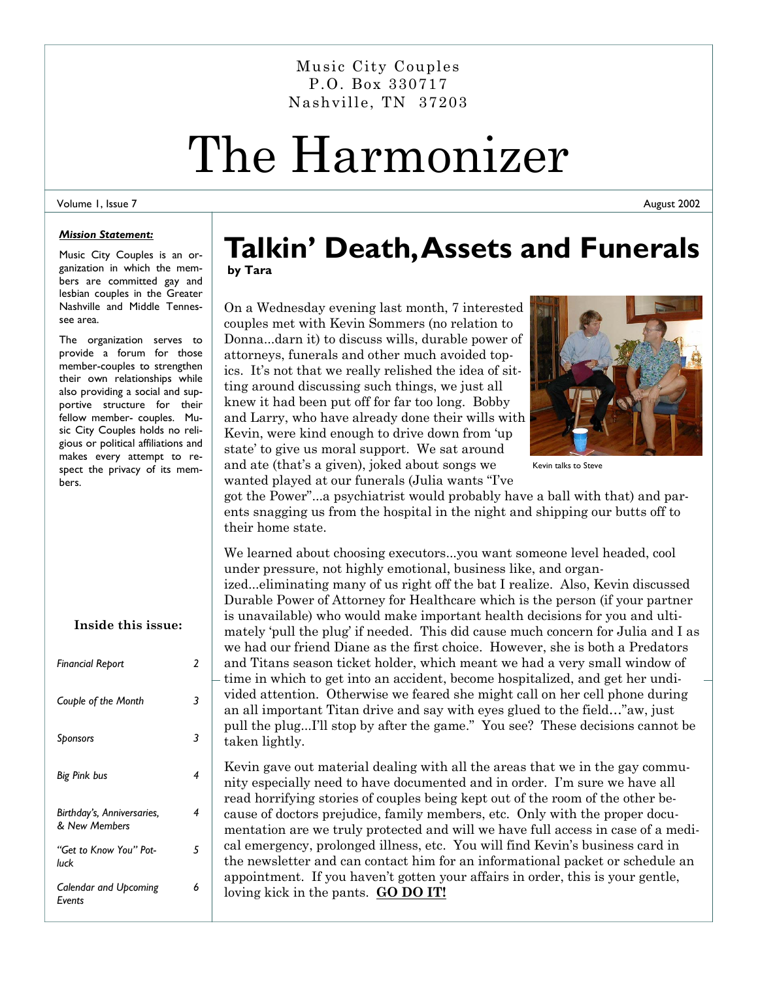Music City Couples P.O. Box 330717 Nashville, TN 37203

# The Harmonizer

#### Volume 1, Issue 7

*Mission Statement:* 

Music City Couples is an organization in which the members are committed gay and lesbian couples in the Greater Nashville and Middle Tennessee area.

The organization serves to provide a forum for those member-couples to strengthen their own relationships while also providing a social and supportive structure for their fellow member- couples. Music City Couples holds no religious or political affiliations and makes every attempt to respect the privacy of its members.

| Inside this issue:                          |   |
|---------------------------------------------|---|
| <b>Financial Report</b>                     | 2 |
| Couple of the Month                         | 3 |
| Sponsors                                    | 3 |
| Big Pink bus                                | 4 |
| Birthday's, Anniversaries,<br>& New Members | 4 |
| "Get to Know You" Pot-<br>luck              | 5 |
| <b>Calendar and Upcoming</b><br>Events      | 6 |

### **Talkin' Death, Assets and Funerals by Tara**

On a Wednesday evening last month, 7 interested couples met with Kevin Sommers (no relation to Donna...darn it) to discuss wills, durable power of attorneys, funerals and other much avoided topics. It's not that we really relished the idea of sitting around discussing such things, we just all knew it had been put off for far too long. Bobby and Larry, who have already done their wills with Kevin, were kind enough to drive down from 'up state' to give us moral support. We sat around and ate (that's a given), joked about songs we wanted played at our funerals (Julia wants "I've



Kevin talks to Steve

got the Power"...a psychiatrist would probably have a ball with that) and parents snagging us from the hospital in the night and shipping our butts off to their home state.

We learned about choosing executors...you want someone level headed, cool under pressure, not highly emotional, business like, and organized...eliminating many of us right off the bat I realize. Also, Kevin discussed Durable Power of Attorney for Healthcare which is the person (if your partner is unavailable) who would make important health decisions for you and ultimately 'pull the plug' if needed. This did cause much concern for Julia and I as we had our friend Diane as the first choice. However, she is both a Predators and Titans season ticket holder, which meant we had a very small window of time in which to get into an accident, become hospitalized, and get her undivided attention. Otherwise we feared she might call on her cell phone during an all important Titan drive and say with eyes glued to the field…"aw, just pull the plug...I'll stop by after the game." You see? These decisions cannot be taken lightly.

Kevin gave out material dealing with all the areas that we in the gay community especially need to have documented and in order. I'm sure we have all read horrifying stories of couples being kept out of the room of the other because of doctors prejudice, family members, etc. Only with the proper documentation are we truly protected and will we have full access in case of a medical emergency, prolonged illness, etc. You will find Kevin's business card in the newsletter and can contact him for an informational packet or schedule an appointment. If you haven't gotten your affairs in order, this is your gentle, loving kick in the pants. **GO DO IT!**

August 2002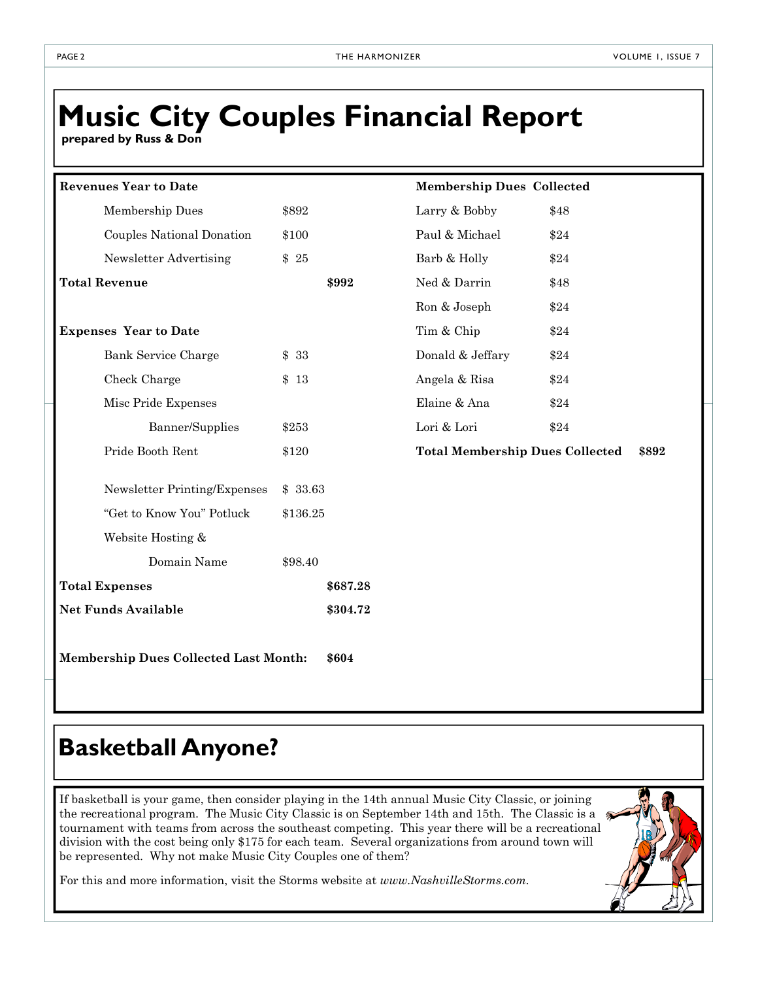### **Music City Couples Financial Report**

 **prepared by Russ & Don** 

| <b>Revenues Year to Date</b>                          |          |          | <b>Membership Dues Collected</b>       |       |  |
|-------------------------------------------------------|----------|----------|----------------------------------------|-------|--|
| Membership Dues                                       | \$892    |          | Larry & Bobby                          | \$48  |  |
| Couples National Donation                             | \$100    |          | Paul & Michael                         | \$24  |  |
| Newsletter Advertising                                | \$25     |          | Barb & Holly                           | \$24  |  |
| <b>Total Revenue</b>                                  |          | \$992    | Ned & Darrin                           | \$48  |  |
|                                                       |          |          | Ron & Joseph                           | \$24  |  |
| <b>Expenses Year to Date</b>                          |          |          | Tim & Chip                             | \$24  |  |
| <b>Bank Service Charge</b>                            | \$33     |          | Donald & Jeffary                       | \$24  |  |
| Check Charge                                          | \$13     |          | Angela & Risa                          | \$24  |  |
| Misc Pride Expenses                                   |          |          | Elaine & Ana                           | \$24  |  |
| Banner/Supplies                                       | \$253    |          | Lori & Lori                            | \$24  |  |
| Pride Booth Rent                                      | \$120    |          | <b>Total Membership Dues Collected</b> | \$892 |  |
| Newsletter Printing/Expenses                          | \$ 33.63 |          |                                        |       |  |
| "Get to Know You" Potluck                             | \$136.25 |          |                                        |       |  |
| Website Hosting &                                     |          |          |                                        |       |  |
| Domain Name                                           | \$98.40  |          |                                        |       |  |
| <b>Total Expenses</b>                                 |          | \$687.28 |                                        |       |  |
| <b>Net Funds Available</b>                            |          | \$304.72 |                                        |       |  |
| <b>Membership Dues Collected Last Month:</b><br>\$604 |          |          |                                        |       |  |

### **Basketball Anyone?**

If basketball is your game, then consider playing in the 14th annual Music City Classic, or joining the recreational program. The Music City Classic is on September 14th and 15th. The Classic is a  $\delta$ tournament with teams from across the southeast competing. This year there will be a recreational division with the cost being only \$175 for each team. Several organizations from around town will be represented. Why not make Music City Couples one of them?



For this and more information, visit the Storms website at *www.NashvilleStorms.com.*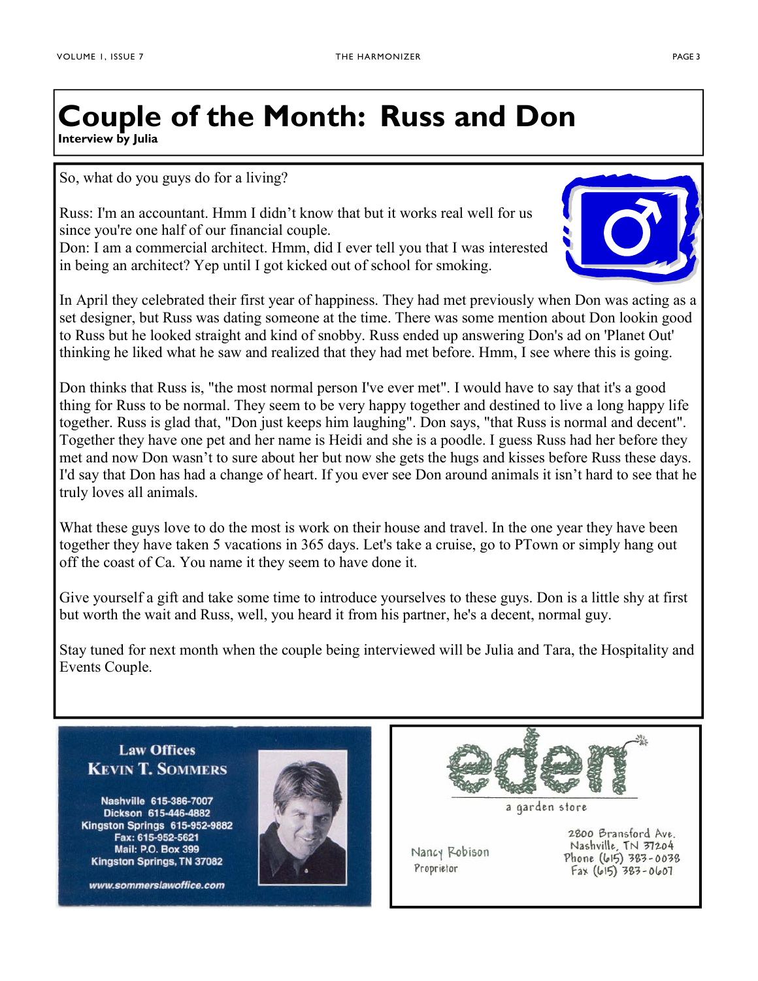### **Couple of the Month: Russ and Don Interview by Julia**

So, what do you guys do for a living?

Russ: I'm an accountant. Hmm I didn't know that but it works real well for us since you're one half of our financial couple.

Don: I am a commercial architect. Hmm, did I ever tell you that I was interested in being an architect? Yep until I got kicked out of school for smoking.

In April they celebrated their first year of happiness. They had met previously when Don was acting as a set designer, but Russ was dating someone at the time. There was some mention about Don lookin good to Russ but he looked straight and kind of snobby. Russ ended up answering Don's ad on 'Planet Out' thinking he liked what he saw and realized that they had met before. Hmm, I see where this is going.

Don thinks that Russ is, "the most normal person I've ever met". I would have to say that it's a good thing for Russ to be normal. They seem to be very happy together and destined to live a long happy life together. Russ is glad that, "Don just keeps him laughing". Don says, "that Russ is normal and decent". Together they have one pet and her name is Heidi and she is a poodle. I guess Russ had her before they met and now Don wasn't to sure about her but now she gets the hugs and kisses before Russ these days. I'd say that Don has had a change of heart. If you ever see Don around animals it isn't hard to see that he truly loves all animals.

What these guys love to do the most is work on their house and travel. In the one year they have been together they have taken 5 vacations in 365 days. Let's take a cruise, go to PTown or simply hang out off the coast of Ca. You name it they seem to have done it.

Give yourself a gift and take some time to introduce yourselves to these guys. Don is a little shy at first but worth the wait and Russ, well, you heard it from his partner, he's a decent, normal guy.

Stay tuned for next month when the couple being interviewed will be Julia and Tara, the Hospitality and Events Couple.

#### **Law Offices KEVIN T. SOMMERS**

Nashville 615-386-7007 Dickson 615-446-4882 Kingston Springs 615-952-9882 Fax: 615-952-5621 Mail: P.O. Box 399 Kingston Springs, TN 37082

www.sommerslawoffice.com





a garden store

Nancy Robison Proprietor

2800 Bransford Ave. Nashville, TN 37204 Phone (615) 383-0038  $Fax (615) 383 - 0607$ 

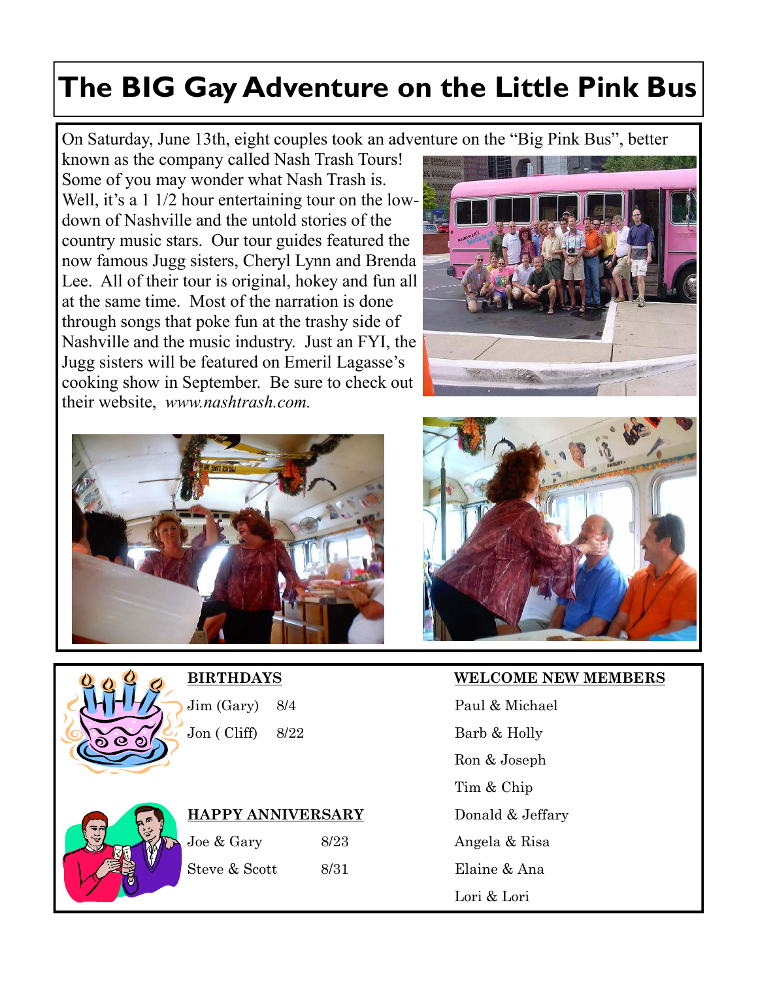## **The BIG Gay Adventure on the Little Pink Bus**

On Saturday, June 13th, eight couples took an adventure on the "Big Pink Bus", better

known as the company called Nash Trash Tours! Some of you may wonder what Nash Trash is. Well, it's a 1 1/2 hour entertaining tour on the lowdown of Nashville and the untold stories of the country music stars. Our tour guides featured the now famous Jugg sisters, Cheryl Lynn and Brenda Lee. All of their tour is original, hokey and fun all at the same time. Most of the narration is done through songs that poke fun at the trashy side of Nashville and the music industry. Just an FYI, the Jugg sisters will be featured on Emeril Lagasse's cooking show in September. Be sure to check out their website, *www.nashtrash.com.*









Jim (Gary) 8/4 Paul & Michael Jon ( Cliff) 8/22 Barb & Holly



|  | HAPPY ANNIVERSARY |
|--|-------------------|
|  |                   |

| Joe & Gary    | 8/23 |
|---------------|------|
| Steve & Scott | 8/31 |

#### **BIRTHDAYS WELCOME NEW MEMBERS**

 Ron & Joseph Tim & Chip Donald & Jeffary Angela & Risa Elaine & Ana Lori & Lori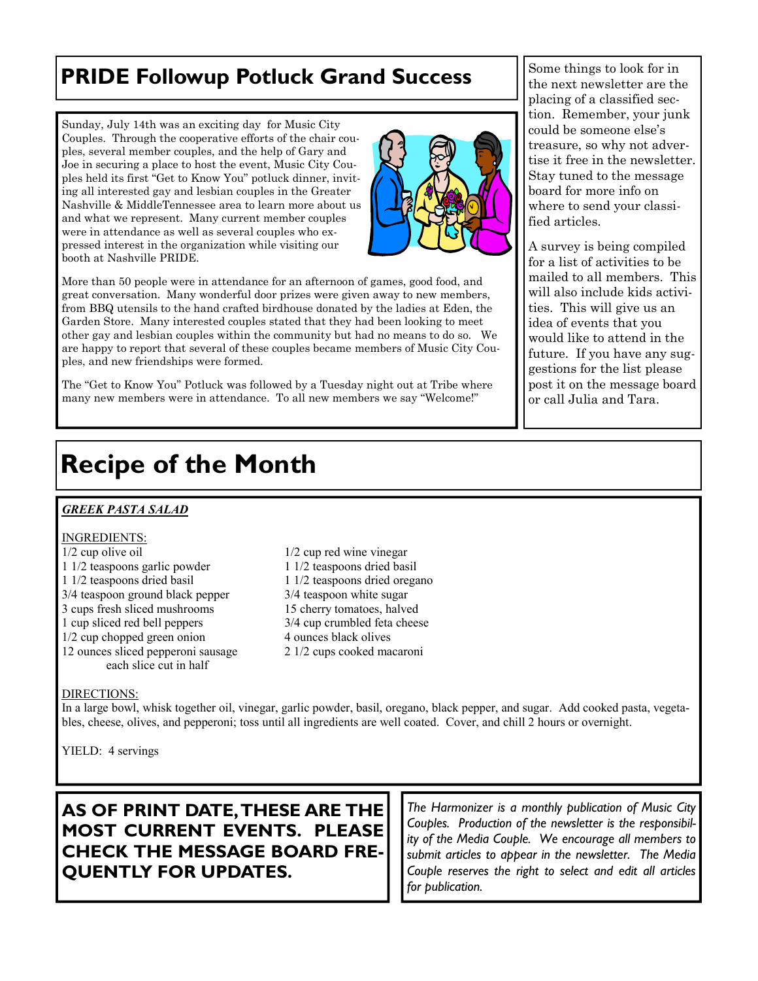### **PRIDE Followup Potluck Grand Success** Subsection  $\left\| \frac{\text{Some things to look for in}}{\text{the next new Slater are the}} \right\|$

Sunday, July 14th was an exciting day for Music City Couples. Through the cooperative efforts of the chair couples, several member couples, and the help of Gary and Joe in securing a place to host the event, Music City Couples held its first "Get to Know You" potluck dinner, inviting all interested gay and lesbian couples in the Greater Nashville & MiddleTennessee area to learn more about us and what we represent. Many current member couples were in attendance as well as several couples who expressed interest in the organization while visiting our booth at Nashville PRIDE.



More than 50 people were in attendance for an afternoon of games, good food, and great conversation. Many wonderful door prizes were given away to new members, from BBQ utensils to the hand crafted birdhouse donated by the ladies at Eden, the Garden Store. Many interested couples stated that they had been looking to meet other gay and lesbian couples within the community but had no means to do so. We are happy to report that several of these couples became members of Music City Couples, and new friendships were formed.

The "Get to Know You" Potluck was followed by a Tuesday night out at Tribe where many new members were in attendance. To all new members we say "Welcome!"

the next newsletter are the placing of a classified section. Remember, your junk could be someone else's treasure, so why not advertise it free in the newsletter. Stay tuned to the message board for more info on where to send your classified articles.

A survey is being compiled for a list of activities to be mailed to all members. This will also include kids activities. This will give us an idea of events that you would like to attend in the future. If you have any suggestions for the list please post it on the message board or call Julia and Tara.

### **Recipe of the Month**

#### *GREEK PASTA SALAD*

#### INGREDIENTS:

- $1/2$  cup olive oil  $1/2$  cup red wine vinegar 1 1/2 teaspoons garlic powder 1 1/2 teaspoons dried basil 1 1/2 teaspoons dried basil 1 1/2 teaspoons dried oregano 3/4 teaspoon ground black pepper 3/4 teaspoon white sugar 3 cups fresh sliced mushrooms 15 cherry tomatoes, halved 1 cup sliced red bell peppers 3/4 cup crumbled feta cheese 1/2 cup chopped green onion 4 ounces black olives 12 ounces sliced pepperoni sausage 2 1/2 cups cooked macaroni each slice cut in half
	-

#### DIRECTIONS:

In a large bowl, whisk together oil, vinegar, garlic powder, basil, oregano, black pepper, and sugar. Add cooked pasta, vegetables, cheese, olives, and pepperoni; toss until all ingredients are well coated. Cover, and chill 2 hours or overnight.

YIELD: 4 servings

#### **AS OF PRINT DATE, THESE ARE THE MOST CURRENT EVENTS. PLEASE CHECK THE MESSAGE BOARD FRE-QUENTLY FOR UPDATES.**

*The Harmonizer is a monthly publication of Music City Couples. Production of the newsletter is the responsibility of the Media Couple. We encourage all members to submit articles to appear in the newsletter. The Media Couple reserves the right to select and edit all articles for publication.*